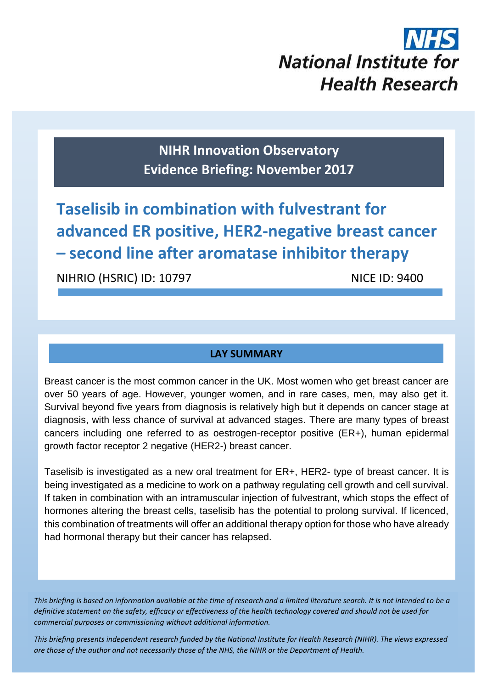# **National Institute for Health Research**

**NIHR Innovation Observatory Evidence Briefing: November 2017**

**Taselisib in combination with fulvestrant for advanced ER positive, HER2-negative breast cancer – second line after aromatase inhibitor therapy**

NIHRIO (HSRIC) ID: 10797 NICE ID: 9400

### **LAY SUMMARY**

Breast cancer is the most common cancer in the UK. Most women who get breast cancer are over 50 years of age. However, younger women, and in rare cases, men, may also get it. Survival beyond five years from diagnosis is relatively high but it depends on cancer stage at diagnosis, with less chance of survival at advanced stages. There are many types of breast cancers including one referred to as oestrogen-receptor positive (ER+), human epidermal growth factor receptor 2 negative (HER2-) breast cancer.

Taselisib is investigated as a new oral treatment for ER+, HER2- type of breast cancer. It is being investigated as a medicine to work on a pathway regulating cell growth and cell survival. If taken in combination with an intramuscular injection of fulvestrant, which stops the effect of hormones altering the breast cells, taselisib has the potential to prolong survival. If licenced, this combination of treatments will offer an additional therapy option for those who have already had hormonal therapy but their cancer has relapsed.

*This briefing is based on information available at the time of research and a limited literature search. It is not intended to be a definitive statement on the safety, efficacy or effectiveness of the health technology covered and should not be used for commercial purposes or commissioning without additional information.*

1 *This briefing presents independent research funded by the National Institute for Health Research (NIHR). The views expressed are those of the author and not necessarily those of the NHS, the NIHR or the Department of Health.*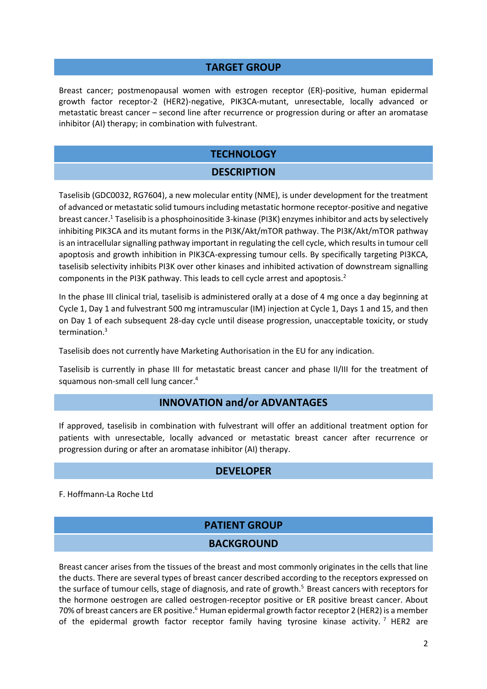#### **TARGET GROUP**

Breast cancer; postmenopausal women with estrogen receptor (ER)-positive, human epidermal growth factor receptor-2 (HER2)-negative, PIK3CA-mutant, unresectable, locally advanced or metastatic breast cancer – second line after recurrence or progression during or after an aromatase inhibitor (AI) therapy; in combination with fulvestrant.

#### **TECHNOLOGY**

#### **DESCRIPTION**

Taselisib (GDC0032, RG7604), a new molecular entity (NME), is under development for the treatment of advanced or metastatic solid tumoursincluding metastatic hormone receptor-positive and negative breast cancer.<sup>1</sup> Taselisib is [a phosphoinositide 3-kinase](https://en.wikipedia.org/wiki/Phosphoinositide_3-kinase) (PI3K) enzymes inhibitor and acts by selectively inhibiting PIK3CA and its mutant forms in the PI3K/Akt/mTOR pathway. The PI3K/Akt/mTOR pathway is an intracellular signalling pathway important in regulating the [cell cycle,](https://en.wikipedia.org/wiki/Cell_cycle) which resultsin tumour cell apoptosis and growth inhibition in PIK3CA-expressing tumour cells. By specifically targeting PI3KCA, taselisib selectivity inhibits PI3K over other kinases and inhibited activation of downstream signalling components in the PI3K pathway. This leads to cell cycle arrest and apoptosis.<sup>2</sup>

In the phase III clinical trial, taselisib is administered orally at a dose of 4 mg once a day beginning at Cycle 1, Day 1 and fulvestrant 500 mg intramuscular (IM) injection at Cycle 1, Days 1 and 15, and then on Day 1 of each subsequent 28-day cycle until disease progression, unacceptable toxicity, or study termination. 3

Taselisib does not currently have Marketing Authorisation in the EU for any indication.

Taselisib is currently in phase III for metastatic breast cancer and phase II/III for the treatment of squamous non-small cell lung cancer. 4

#### **INNOVATION and/or ADVANTAGES**

If approved, taselisib in combination with fulvestrant will offer an additional treatment option for patients with unresectable, locally advanced or metastatic breast cancer after recurrence or progression during or after an aromatase inhibitor (AI) therapy.

#### **DEVELOPER**

F. Hoffmann-La Roche Ltd

# **PATIENT GROUP BACKGROUND**

Breast cancer arises from the tissues of the breast and most commonly originates in the cells that line the ducts. There are several types of breast cancer described according to the receptors expressed on the surface of tumour cells, stage of diagnosis, and rate of growth.<sup>5</sup> Breast cancers with receptors for the hormone oestrogen are called oestrogen-receptor positive or ER positive breast cancer. About 70% of breast cancers are ER positive.<sup>6</sup> Human epidermal growth factor receptor 2 (HER2) is a member of the epidermal growth factor receptor family having tyrosine kinase activity.<sup>7</sup> HER2 are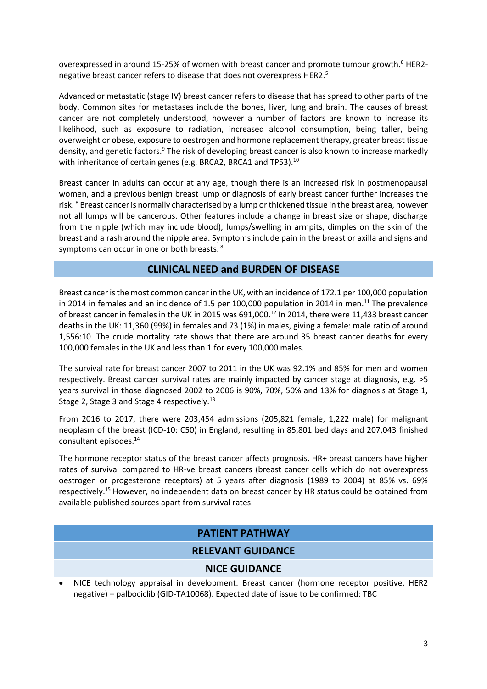overexpressed in around 15-25% of women with breast cancer and promote tumour growth.<sup>8</sup> HER2negative breast cancer refers to disease that does not overexpress HER2.<sup>5</sup>

Advanced or metastatic (stage IV) breast cancer refers to disease that has spread to other parts of the body. Common sites for metastases include the bones, liver, lung and brain. The causes of breast cancer are not completely understood, however a number of factors are known to increase its likelihood, such as exposure to radiation, increased alcohol consumption, being taller, being overweight or obese, exposure to oestrogen and hormone replacement therapy, greater breast tissue density, and genetic factors.<sup>9</sup> The risk of developing breast cancer is also known to increase markedly with inheritance of certain genes (e.g. BRCA2, BRCA1 and TP53).<sup>10</sup>

Breast cancer in adults can occur at any age, though there is an increased risk in postmenopausal women, and a previous benign breast lump or diagnosis of early breast cancer further increases the risk. <sup>8</sup> Breast cancer is normally characterised by a lump or thickened tissue in the breast area, however not all lumps will be cancerous. Other features include a change in breast size or shape, discharge from the nipple (which may include blood), lumps/swelling in armpits, dimples on the skin of the breast and a rash around the nipple area. Symptoms include pain in the breast or axilla and signs and symptoms can occur in one or both breasts. <sup>8</sup>

#### **CLINICAL NEED and BURDEN OF DISEASE**

Breast cancer isthe most common cancer in the UK, with an incidence of 172.1 per 100,000 population in 2014 in females and an incidence of 1.5 per 100,000 population in 2014 in men.<sup>11</sup> The prevalence of breast cancer in females in the UK in 2015 was 691,000. <sup>12</sup> In 2014, there were 11,433 breast cancer deaths in the UK: 11,360 (99%) in females and 73 (1%) in males, giving a female: male ratio of around 1,556:10. The crude mortality rate shows that there are around 35 breast cancer deaths for every 100,000 females in the UK and less than 1 for every 100,000 males.

The survival rate for breast cancer 2007 to 2011 in the UK was 92.1% and 85% for men and women respectively. Breast cancer survival rates are mainly impacted by cancer stage at diagnosis, e.g. >5 years survival in those diagnosed 2002 to 2006 is 90%, 70%, 50% and 13% for diagnosis at Stage 1, Stage 2, Stage 3 and Stage 4 respectively.<sup>13</sup>

From 2016 to 2017, there were 203,454 admissions (205,821 female, 1,222 male) for malignant neoplasm of the breast (ICD-10: C50) in England, resulting in 85,801 bed days and 207,043 finished consultant episodes.<sup>14</sup>

The hormone receptor status of the breast cancer affects prognosis. HR+ breast cancers have higher rates of survival compared to HR-ve breast cancers (breast cancer cells which do not overexpress oestrogen or progesterone receptors) at 5 years after diagnosis (1989 to 2004) at 85% vs. 69% respectively.<sup>15</sup> However, no independent data on breast cancer by HR status could be obtained from available published sources apart from survival rates.

#### **PATIENT PATHWAY**

#### **RELEVANT GUIDANCE**

#### **NICE GUIDANCE**

 NICE technology appraisal in development. Breast cancer (hormone receptor positive, HER2 negative) – palbociclib (GID-TA10068). Expected date of issue to be confirmed: TBC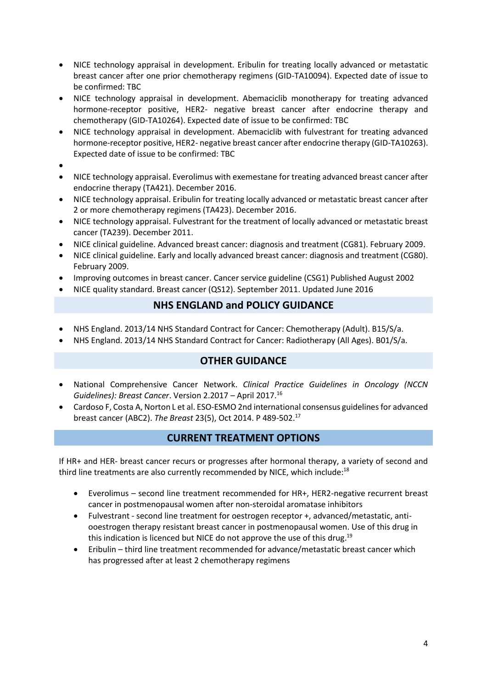- NICE technology appraisal in development. Eribulin for treating locally advanced or metastatic breast cancer after one prior chemotherapy regimens (GID-TA10094). Expected date of issue to be confirmed: TBC
- NICE technology appraisal in development. Abemaciclib monotherapy for treating advanced hormone-receptor positive, HER2- negative breast cancer after endocrine therapy and chemotherapy (GID-TA10264). Expected date of issue to be confirmed: TBC
- NICE technology appraisal in development. Abemaciclib with fulvestrant for treating advanced hormone-receptor positive, HER2- negative breast cancer after endocrine therapy (GID-TA10263). Expected date of issue to be confirmed: TBC
- $\bullet$
- NICE technology appraisal. Everolimus with exemestane for treating advanced breast cancer after endocrine therapy (TA421). December 2016.
- NICE technology appraisal. Eribulin for treating locally advanced or metastatic breast cancer after 2 or more chemotherapy regimens (TA423). December 2016.
- NICE technology appraisal. Fulvestrant for the treatment of locally advanced or metastatic breast cancer (TA239). December 2011.
- NICE clinical guideline. Advanced breast cancer: diagnosis and treatment (CG81). February 2009.
- NICE clinical guideline. Early and locally advanced breast cancer: diagnosis and treatment (CG80). February 2009.
- Improving outcomes in breast cancer. Cancer service guideline (CSG1) Published August 2002
- NICE quality standard. Breast cancer (QS12). September 2011. Updated June 2016

#### **NHS ENGLAND and POLICY GUIDANCE**

- NHS England. 2013/14 NHS Standard Contract for Cancer: Chemotherapy (Adult). B15/S/a.
- NHS England. 2013/14 NHS Standard Contract for Cancer: Radiotherapy (All Ages). B01/S/a.

#### **OTHER GUIDANCE**

- National Comprehensive Cancer Network. *Clinical Practice Guidelines in Oncology (NCCN Guidelines): Breast Cancer*. Version 2.2017 – April 2017.<sup>16</sup>
- Cardoso F, Costa A, Norton L et al. ESO-ESMO 2nd international consensus guidelines for advanced breast cancer (ABC2). *The Breast* 23(5), Oct 2014. P 489-502.<sup>17</sup>

#### **CURRENT TREATMENT OPTIONS**

If HR+ and HER- breast cancer recurs or progresses after hormonal therapy, a variety of second and third line treatments are also currently recommended by NICE, which include:<sup>18</sup>

- Everolimus second line treatment recommended for HR+, HER2-negative recurrent breast cancer in postmenopausal women after non-steroidal aromatase inhibitors
- Fulvestrant second line treatment for oestrogen receptor +, advanced/metastatic, antiooestrogen therapy resistant breast cancer in postmenopausal women. Use of this drug in this indication is licenced but NICE do not approve the use of this drug.<sup>19</sup>
- Eribulin third line treatment recommended for advance/metastatic breast cancer which has progressed after at least 2 chemotherapy regimens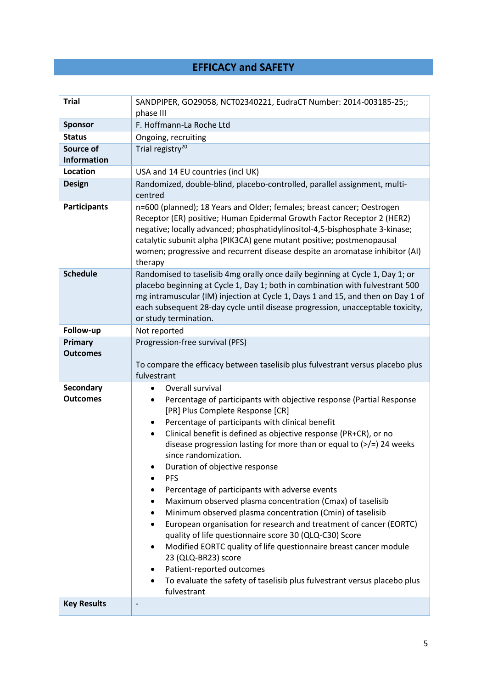# **EFFICACY and SAFETY**

| <b>Trial</b>                        | SANDPIPER, GO29058, NCT02340221, EudraCT Number: 2014-003185-25;;<br>phase III                                                                                                                                                                                                                                                                                                                                                                                                                                                                                                                                                                                                                                                                                                                                                                                                                                                                                                                                                         |  |  |
|-------------------------------------|----------------------------------------------------------------------------------------------------------------------------------------------------------------------------------------------------------------------------------------------------------------------------------------------------------------------------------------------------------------------------------------------------------------------------------------------------------------------------------------------------------------------------------------------------------------------------------------------------------------------------------------------------------------------------------------------------------------------------------------------------------------------------------------------------------------------------------------------------------------------------------------------------------------------------------------------------------------------------------------------------------------------------------------|--|--|
| <b>Sponsor</b>                      | F. Hoffmann-La Roche Ltd                                                                                                                                                                                                                                                                                                                                                                                                                                                                                                                                                                                                                                                                                                                                                                                                                                                                                                                                                                                                               |  |  |
| <b>Status</b>                       | Ongoing, recruiting                                                                                                                                                                                                                                                                                                                                                                                                                                                                                                                                                                                                                                                                                                                                                                                                                                                                                                                                                                                                                    |  |  |
| Source of<br><b>Information</b>     | Trial registry <sup>20</sup>                                                                                                                                                                                                                                                                                                                                                                                                                                                                                                                                                                                                                                                                                                                                                                                                                                                                                                                                                                                                           |  |  |
| <b>Location</b>                     | USA and 14 EU countries (incl UK)                                                                                                                                                                                                                                                                                                                                                                                                                                                                                                                                                                                                                                                                                                                                                                                                                                                                                                                                                                                                      |  |  |
| <b>Design</b>                       | Randomized, double-blind, placebo-controlled, parallel assignment, multi-<br>centred                                                                                                                                                                                                                                                                                                                                                                                                                                                                                                                                                                                                                                                                                                                                                                                                                                                                                                                                                   |  |  |
| <b>Participants</b>                 | n=600 (planned); 18 Years and Older; females; breast cancer; Oestrogen<br>Receptor (ER) positive; Human Epidermal Growth Factor Receptor 2 (HER2)<br>negative; locally advanced; phosphatidylinositol-4,5-bisphosphate 3-kinase;<br>catalytic subunit alpha (PIK3CA) gene mutant positive; postmenopausal<br>women; progressive and recurrent disease despite an aromatase inhibitor (AI)<br>therapy                                                                                                                                                                                                                                                                                                                                                                                                                                                                                                                                                                                                                                   |  |  |
| <b>Schedule</b>                     | Randomised to taselisib 4mg orally once daily beginning at Cycle 1, Day 1; or<br>placebo beginning at Cycle 1, Day 1; both in combination with fulvestrant 500<br>mg intramuscular (IM) injection at Cycle 1, Days 1 and 15, and then on Day 1 of<br>each subsequent 28-day cycle until disease progression, unacceptable toxicity,<br>or study termination.                                                                                                                                                                                                                                                                                                                                                                                                                                                                                                                                                                                                                                                                           |  |  |
| Follow-up                           | Not reported                                                                                                                                                                                                                                                                                                                                                                                                                                                                                                                                                                                                                                                                                                                                                                                                                                                                                                                                                                                                                           |  |  |
| Primary<br><b>Outcomes</b>          | Progression-free survival (PFS)<br>To compare the efficacy between taselisib plus fulvestrant versus placebo plus<br>fulvestrant                                                                                                                                                                                                                                                                                                                                                                                                                                                                                                                                                                                                                                                                                                                                                                                                                                                                                                       |  |  |
| <b>Secondary</b><br><b>Outcomes</b> | Overall survival<br>$\bullet$<br>Percentage of participants with objective response (Partial Response<br>٠<br>[PR] Plus Complete Response [CR]<br>Percentage of participants with clinical benefit<br>٠<br>Clinical benefit is defined as objective response (PR+CR), or no<br>$\bullet$<br>disease progression lasting for more than or equal to $\left(\frac{p}{r}\right)$ 24 weeks<br>since randomization.<br>Duration of objective response<br><b>PFS</b><br>Percentage of participants with adverse events<br>Maximum observed plasma concentration (Cmax) of taselisib<br>٠<br>Minimum observed plasma concentration (Cmin) of taselisib<br>٠<br>European organisation for research and treatment of cancer (EORTC)<br>$\bullet$<br>quality of life questionnaire score 30 (QLQ-C30) Score<br>Modified EORTC quality of life questionnaire breast cancer module<br>٠<br>23 (QLQ-BR23) score<br>Patient-reported outcomes<br>To evaluate the safety of taselisib plus fulvestrant versus placebo plus<br>$\bullet$<br>fulvestrant |  |  |
| <b>Key Results</b>                  |                                                                                                                                                                                                                                                                                                                                                                                                                                                                                                                                                                                                                                                                                                                                                                                                                                                                                                                                                                                                                                        |  |  |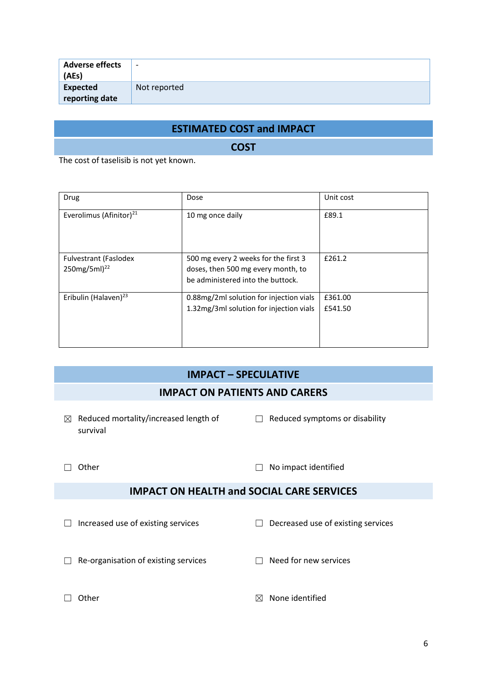| <b>Adverse effects</b><br>(AEs) | $\overline{\phantom{0}}$ |
|---------------------------------|--------------------------|
| Expected                        | Not reported             |
| reporting date                  |                          |

#### **ESTIMATED COST and IMPACT**

**COST**

The cost of taselisib is not yet known.

| Drug                                                     | Dose                                                                                                            | Unit cost          |
|----------------------------------------------------------|-----------------------------------------------------------------------------------------------------------------|--------------------|
| Everolimus (Afinitor) <sup>21</sup>                      | 10 mg once daily                                                                                                | £89.1              |
| <b>Fulvestrant (Faslodex</b><br>250mg/5ml) <sup>22</sup> | 500 mg every 2 weeks for the first 3<br>doses, then 500 mg every month, to<br>be administered into the buttock. | £261.2             |
| Eribulin (Halaven) <sup>23</sup>                         | 0.88mg/2ml solution for injection vials<br>1.32mg/3ml solution for injection vials                              | £361.00<br>£541.50 |

# **IMPACT – SPECULATIVE**

#### **IMPACT ON PATIENTS AND CARERS**

- ☒ Reduced mortality/increased length of survival
	-

☐ Reduced symptoms or disability

☐ Other ☐ No impact identified

## **IMPACT ON HEALTH and SOCIAL CARE SERVICES**

☐ Increased use of existing services ☐ Decreased use of existing services ☐ Re-organisation of existing services ☐ Need for new services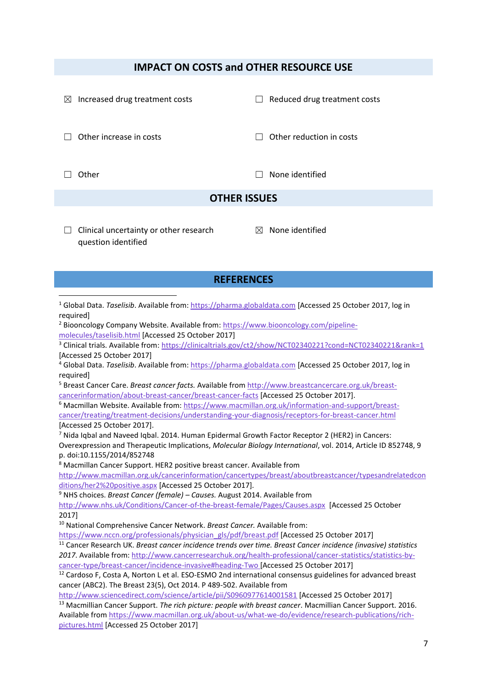#### **IMPACT ON COSTS and OTHER RESOURCE USE**

| Increased drug treatment costs<br>$\boxtimes$ | Reduced drug treatment costs |
|-----------------------------------------------|------------------------------|
| Other increase in costs                       | Other reduction in costs     |
| Other                                         | None identified              |
|                                               | <b>OTHER ISSUES</b>          |

 $\Box$  Clinical uncertainty or other research question identified

**.** 

 $<sup>8</sup>$  None identified</sup>

#### **REFERENCES**

<sup>1</sup> Global Data. *Taselisib*. Available from: [https://pharma.globaldata.com](https://pharma.globaldata.com/) [Accessed 25 October 2017, log in required]

<sup>2</sup> Biooncology Company Website. Available from: [https://www.biooncology.com/pipeline](https://www.biooncology.com/pipeline-molecules/taselisib.html)[molecules/taselisib.html](https://www.biooncology.com/pipeline-molecules/taselisib.html) [Accessed 25 October 2017]

<sup>3</sup> Clinical trials. Available from[: https://clinicaltrials.gov/ct2/show/NCT02340221?cond=NCT02340221&rank=1](https://clinicaltrials.gov/ct2/show/NCT02340221?cond=NCT02340221&rank=1) [Accessed 25 October 2017]

<sup>4</sup> Global Data. *Taselisib*. Available from: [https://pharma.globaldata.com](https://pharma.globaldata.com/) [Accessed 25 October 2017, log in required]

<sup>5</sup> Breast Cancer Care. *Breast cancer facts.* Available fro[m http://www.breastcancercare.org.uk/breast](http://www.breastcancercare.org.uk/breast-cancerinformation/about-breast-cancer/breast-cancer-facts)[cancerinformation/about-breast-cancer/breast-cancer-facts](http://www.breastcancercare.org.uk/breast-cancerinformation/about-breast-cancer/breast-cancer-facts) [Accessed 25 October 2017].

<sup>6</sup> Macmillan Website. Available from[: https://www.macmillan.org.uk/information-and-support/breast](https://www.macmillan.org.uk/information-and-support/breast-cancer/treating/treatment-decisions/understanding-your-diagnosis/receptors-for-breast-cancer.html)[cancer/treating/treatment-decisions/understanding-your-diagnosis/receptors-for-breast-cancer.html](https://www.macmillan.org.uk/information-and-support/breast-cancer/treating/treatment-decisions/understanding-your-diagnosis/receptors-for-breast-cancer.html) [Accessed 25 October 2017].

<sup>7</sup> Nida Iqbal and Naveed Iqbal. 2014. Human Epidermal Growth Factor Receptor 2 (HER2) in Cancers: Overexpression and Therapeutic Implications, *Molecular Biology International*, vol. 2014, Article ID 852748, 9 p. doi:10.1155/2014/852748

<sup>8</sup> Macmillan Cancer Support. HER2 positive breast cancer. Available from

[http://www.macmillan.org.uk/cancerinformation/cancertypes/breast/aboutbreastcancer/typesandrelatedcon](http://www.macmillan.org.uk/cancerinformation/cancertypes/breast/aboutbreastcancer/typesandrelatedconditions/her2%20positive.aspx) [ditions/her2%20positive.aspx](http://www.macmillan.org.uk/cancerinformation/cancertypes/breast/aboutbreastcancer/typesandrelatedconditions/her2%20positive.aspx) [Accessed 25 October 2017].

<sup>9</sup> NHS choices. *Breast Cancer (female) – Causes.* August 2014. Available from <http://www.nhs.uk/Conditions/Cancer-of-the-breast-female/Pages/Causes.aspx>[Accessed 25 October 2017]

<sup>10</sup> National Comprehensive Cancer Network. *Breast Cancer.* Available from:

[https://www.nccn.org/professionals/physician\\_gls/pdf/breast.pdf](https://www.nccn.org/professionals/physician_gls/pdf/breast.pdf) [Accessed 25 October 2017]

<sup>11</sup> Cancer Research UK. *Breast cancer incidence trends over time. Breast Cancer incidence (invasive) statistics 2017*. Available from: [http://www.cancerresearchuk.org/health-professional/cancer-statistics/statistics-by](http://www.cancerresearchuk.org/health-professional/cancer-statistics/statistics-by-cancer-type/breast-cancer/incidence-invasive#heading-Two)[cancer-type/breast-cancer/incidence-invasive#heading-Two](http://www.cancerresearchuk.org/health-professional/cancer-statistics/statistics-by-cancer-type/breast-cancer/incidence-invasive#heading-Two) [Accessed 25 October 2017]

<sup>12</sup> Cardoso F, Costa A, Norton L et al. ESO-ESMO 2nd international consensus guidelines for advanced breast cancer (ABC2). The Breast 23(5), Oct 2014. P 489-502. Available from

<http://www.sciencedirect.com/science/article/pii/S0960977614001581> [Accessed 25 October 2017]

<sup>13</sup> Macmillian Cancer Support. *The rich picture: people with breast cancer*. Macmillian Cancer Support. 2016. Available from [https://www.macmillan.org.uk/about-us/what-we-do/evidence/research-publications/rich](https://www.macmillan.org.uk/about-us/what-we-do/evidence/research-publications/rich-pictures.html)[pictures.html](https://www.macmillan.org.uk/about-us/what-we-do/evidence/research-publications/rich-pictures.html) [Accessed 25 October 2017]